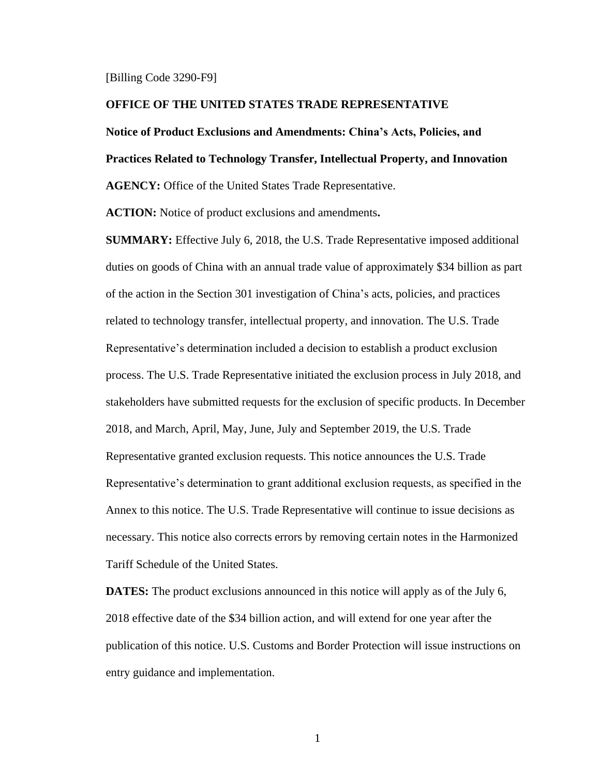#### [Billing Code 3290-F9]

#### **OFFICE OF THE UNITED STATES TRADE REPRESENTATIVE**

#### **Notice of Product Exclusions and Amendments: China's Acts, Policies, and**

**Practices Related to Technology Transfer, Intellectual Property, and Innovation**

**AGENCY:** Office of the United States Trade Representative.

**ACTION:** Notice of product exclusions and amendments**.**

**SUMMARY:** Effective July 6, 2018, the U.S. Trade Representative imposed additional duties on goods of China with an annual trade value of approximately \$34 billion as part of the action in the Section 301 investigation of China's acts, policies, and practices related to technology transfer, intellectual property, and innovation. The U.S. Trade Representative's determination included a decision to establish a product exclusion process. The U.S. Trade Representative initiated the exclusion process in July 2018, and stakeholders have submitted requests for the exclusion of specific products. In December 2018, and March, April, May, June, July and September 2019, the U.S. Trade Representative granted exclusion requests. This notice announces the U.S. Trade Representative's determination to grant additional exclusion requests, as specified in the Annex to this notice. The U.S. Trade Representative will continue to issue decisions as necessary. This notice also corrects errors by removing certain notes in the Harmonized Tariff Schedule of the United States.

**DATES:** The product exclusions announced in this notice will apply as of the July 6, 2018 effective date of the \$34 billion action, and will extend for one year after the publication of this notice. U.S. Customs and Border Protection will issue instructions on entry guidance and implementation.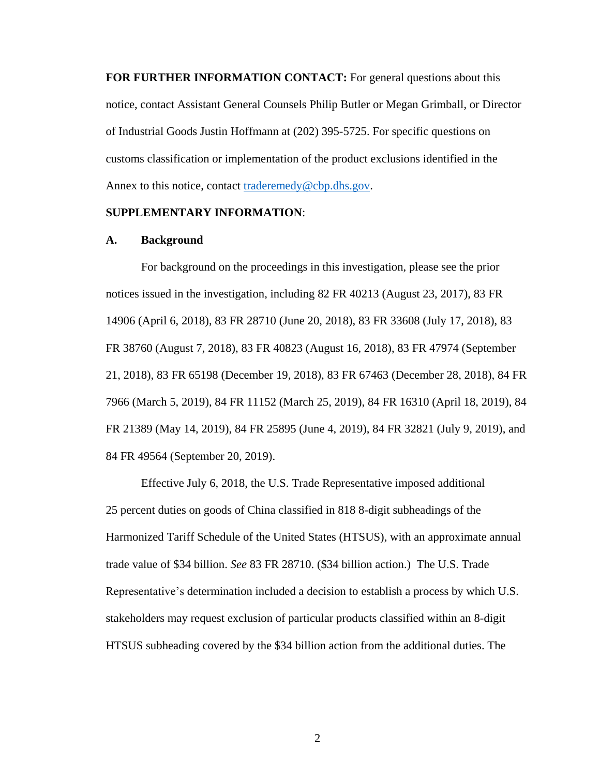**FOR FURTHER INFORMATION CONTACT:** For general questions about this notice, contact Assistant General Counsels Philip Butler or Megan Grimball, or Director of Industrial Goods Justin Hoffmann at (202) 395-5725. For specific questions on customs classification or implementation of the product exclusions identified in the Annex to this notice, contact [traderemedy@cbp.dhs.gov.](mailto:traderemedy@cbp.dhs.gov)

### **SUPPLEMENTARY INFORMATION**:

## **A. Background**

For background on the proceedings in this investigation, please see the prior notices issued in the investigation, including 82 FR 40213 (August 23, 2017), 83 FR 14906 (April 6, 2018), 83 FR 28710 (June 20, 2018), 83 FR 33608 (July 17, 2018), 83 FR 38760 (August 7, 2018), 83 FR 40823 (August 16, 2018), 83 FR 47974 (September 21, 2018), 83 FR 65198 (December 19, 2018), 83 FR 67463 (December 28, 2018), 84 FR 7966 (March 5, 2019), 84 FR 11152 (March 25, 2019), 84 FR 16310 (April 18, 2019), 84 FR 21389 (May 14, 2019), 84 FR 25895 (June 4, 2019), 84 FR 32821 (July 9, 2019), and 84 FR 49564 (September 20, 2019).

Effective July 6, 2018, the U.S. Trade Representative imposed additional 25 percent duties on goods of China classified in 818 8-digit subheadings of the Harmonized Tariff Schedule of the United States (HTSUS), with an approximate annual trade value of \$34 billion. *See* 83 FR 28710. (\$34 billion action.) The U.S. Trade Representative's determination included a decision to establish a process by which U.S. stakeholders may request exclusion of particular products classified within an 8-digit HTSUS subheading covered by the \$34 billion action from the additional duties. The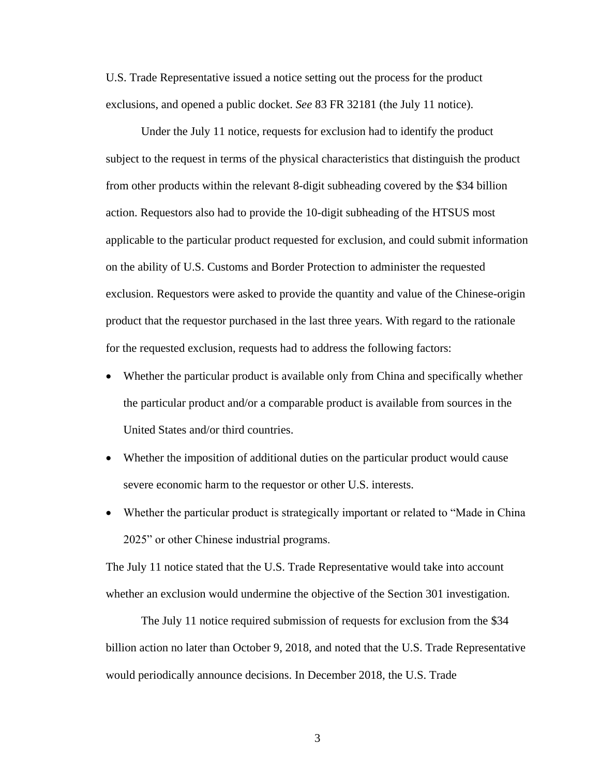U.S. Trade Representative issued a notice setting out the process for the product exclusions, and opened a public docket. *See* 83 FR 32181 (the July 11 notice).

Under the July 11 notice, requests for exclusion had to identify the product subject to the request in terms of the physical characteristics that distinguish the product from other products within the relevant 8-digit subheading covered by the \$34 billion action. Requestors also had to provide the 10-digit subheading of the HTSUS most applicable to the particular product requested for exclusion, and could submit information on the ability of U.S. Customs and Border Protection to administer the requested exclusion. Requestors were asked to provide the quantity and value of the Chinese-origin product that the requestor purchased in the last three years. With regard to the rationale for the requested exclusion, requests had to address the following factors:

- Whether the particular product is available only from China and specifically whether the particular product and/or a comparable product is available from sources in the United States and/or third countries.
- Whether the imposition of additional duties on the particular product would cause severe economic harm to the requestor or other U.S. interests.
- Whether the particular product is strategically important or related to "Made in China" 2025" or other Chinese industrial programs.

The July 11 notice stated that the U.S. Trade Representative would take into account whether an exclusion would undermine the objective of the Section 301 investigation.

The July 11 notice required submission of requests for exclusion from the \$34 billion action no later than October 9, 2018, and noted that the U.S. Trade Representative would periodically announce decisions. In December 2018, the U.S. Trade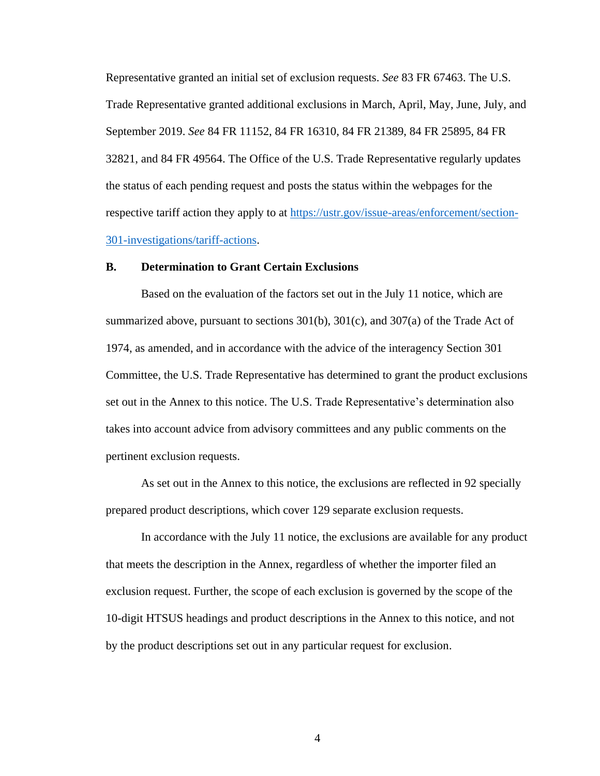Representative granted an initial set of exclusion requests. *See* 83 FR 67463. The U.S. Trade Representative granted additional exclusions in March, April, May, June, July, and September 2019. *See* 84 FR 11152, 84 FR 16310, 84 FR 21389, 84 FR 25895, 84 FR 32821, and 84 FR 49564. The Office of the U.S. Trade Representative regularly updates the status of each pending request and posts the status within the webpages for the respective tariff action they apply to at [https://ustr.gov/issue-areas/enforcement/section-](https://ustr.gov/issue-areas/enforcement/section-301-investigations/tariff-actions)[301-investigations/tariff-actions.](https://ustr.gov/issue-areas/enforcement/section-301-investigations/tariff-actions)

## **B. Determination to Grant Certain Exclusions**

Based on the evaluation of the factors set out in the July 11 notice, which are summarized above, pursuant to sections 301(b), 301(c), and 307(a) of the Trade Act of 1974, as amended, and in accordance with the advice of the interagency Section 301 Committee, the U.S. Trade Representative has determined to grant the product exclusions set out in the Annex to this notice. The U.S. Trade Representative's determination also takes into account advice from advisory committees and any public comments on the pertinent exclusion requests.

As set out in the Annex to this notice, the exclusions are reflected in 92 specially prepared product descriptions, which cover 129 separate exclusion requests.

In accordance with the July 11 notice, the exclusions are available for any product that meets the description in the Annex, regardless of whether the importer filed an exclusion request. Further, the scope of each exclusion is governed by the scope of the 10-digit HTSUS headings and product descriptions in the Annex to this notice, and not by the product descriptions set out in any particular request for exclusion.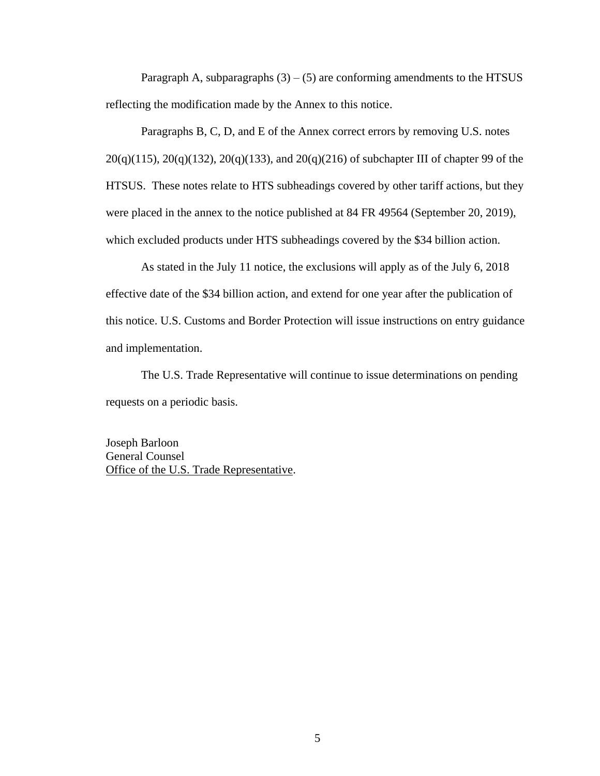Paragraph A, subparagraphs  $(3) - (5)$  are conforming amendments to the HTSUS reflecting the modification made by the Annex to this notice.

Paragraphs B, C, D, and E of the Annex correct errors by removing U.S. notes 20(q)(115), 20(q)(132), 20(q)(133), and 20(q)(216) of subchapter III of chapter 99 of the HTSUS. These notes relate to HTS subheadings covered by other tariff actions, but they were placed in the annex to the notice published at 84 FR 49564 (September 20, 2019), which excluded products under HTS subheadings covered by the \$34 billion action.

As stated in the July 11 notice, the exclusions will apply as of the July 6, 2018 effective date of the \$34 billion action, and extend for one year after the publication of this notice. U.S. Customs and Border Protection will issue instructions on entry guidance and implementation.

The U.S. Trade Representative will continue to issue determinations on pending requests on a periodic basis.

Joseph Barloon General Counsel Office of the U.S. Trade Representative.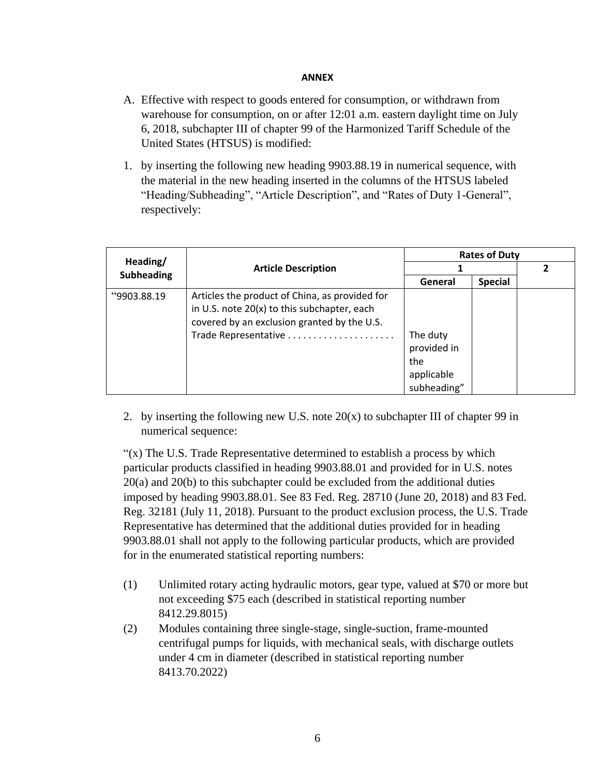# **ANNEX**

- A. Effective with respect to goods entered for consumption, or withdrawn from warehouse for consumption, on or after 12:01 a.m. eastern daylight time on July 6, 2018, subchapter III of chapter 99 of the Harmonized Tariff Schedule of the United States (HTSUS) is modified:
- 1. by inserting the following new heading 9903.88.19 in numerical sequence, with the material in the new heading inserted in the columns of the HTSUS labeled "Heading/Subheading", "Article Description", and "Rates of Duty 1-General", respectively:

| Heading/<br><b>Subheading</b> | <b>Article Description</b>                     | <b>Rates of Duty</b> |                |  |
|-------------------------------|------------------------------------------------|----------------------|----------------|--|
|                               |                                                |                      |                |  |
|                               |                                                | General              | <b>Special</b> |  |
| "9903.88.19"                  | Articles the product of China, as provided for |                      |                |  |
|                               | in U.S. note 20(x) to this subchapter, each    |                      |                |  |
|                               | covered by an exclusion granted by the U.S.    |                      |                |  |
|                               |                                                | The duty             |                |  |
|                               |                                                | provided in          |                |  |
|                               |                                                | the                  |                |  |
|                               |                                                | applicable           |                |  |
|                               |                                                | subheading"          |                |  |

2. by inserting the following new U.S. note  $20(x)$  to subchapter III of chapter 99 in numerical sequence:

" $(x)$  The U.S. Trade Representative determined to establish a process by which particular products classified in heading 9903.88.01 and provided for in U.S. notes 20(a) and 20(b) to this subchapter could be excluded from the additional duties imposed by heading 9903.88.01. See 83 Fed. Reg. 28710 (June 20, 2018) and 83 Fed. Reg. 32181 (July 11, 2018). Pursuant to the product exclusion process, the U.S. Trade Representative has determined that the additional duties provided for in heading 9903.88.01 shall not apply to the following particular products, which are provided for in the enumerated statistical reporting numbers:

- (1) Unlimited rotary acting hydraulic motors, gear type, valued at \$70 or more but not exceeding \$75 each (described in statistical reporting number 8412.29.8015)
- (2) Modules containing three single-stage, single-suction, frame-mounted centrifugal pumps for liquids, with mechanical seals, with discharge outlets under 4 cm in diameter (described in statistical reporting number 8413.70.2022)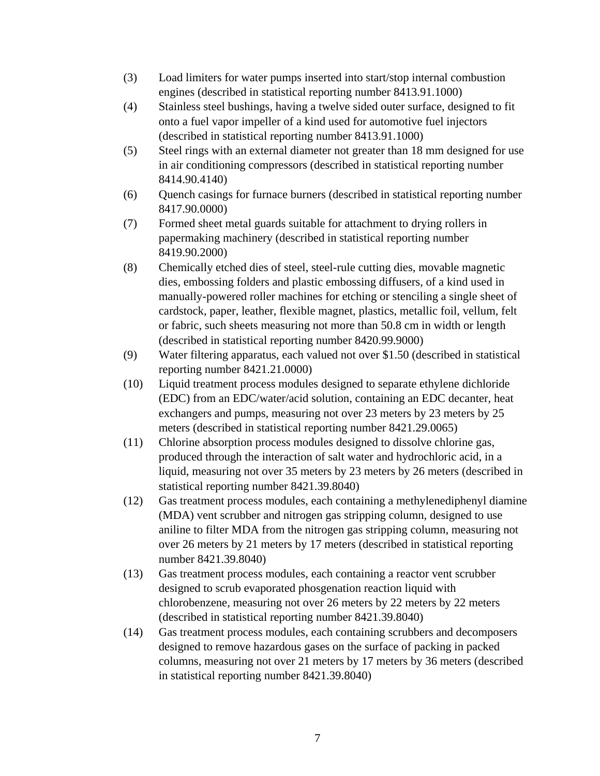- (3) Load limiters for water pumps inserted into start/stop internal combustion engines (described in statistical reporting number 8413.91.1000)
- (4) Stainless steel bushings, having a twelve sided outer surface, designed to fit onto a fuel vapor impeller of a kind used for automotive fuel injectors (described in statistical reporting number 8413.91.1000)
- (5) Steel rings with an external diameter not greater than 18 mm designed for use in air conditioning compressors (described in statistical reporting number 8414.90.4140)
- (6) Quench casings for furnace burners (described in statistical reporting number 8417.90.0000)
- (7) Formed sheet metal guards suitable for attachment to drying rollers in papermaking machinery (described in statistical reporting number 8419.90.2000)
- (8) Chemically etched dies of steel, steel-rule cutting dies, movable magnetic dies, embossing folders and plastic embossing diffusers, of a kind used in manually-powered roller machines for etching or stenciling a single sheet of cardstock, paper, leather, flexible magnet, plastics, metallic foil, vellum, felt or fabric, such sheets measuring not more than 50.8 cm in width or length (described in statistical reporting number 8420.99.9000)
- (9) Water filtering apparatus, each valued not over \$1.50 (described in statistical reporting number 8421.21.0000)
- (10) Liquid treatment process modules designed to separate ethylene dichloride (EDC) from an EDC/water/acid solution, containing an EDC decanter, heat exchangers and pumps, measuring not over 23 meters by 23 meters by 25 meters (described in statistical reporting number 8421.29.0065)
- (11) Chlorine absorption process modules designed to dissolve chlorine gas, produced through the interaction of salt water and hydrochloric acid, in a liquid, measuring not over 35 meters by 23 meters by 26 meters (described in statistical reporting number 8421.39.8040)
- (12) Gas treatment process modules, each containing a methylenediphenyl diamine (MDA) vent scrubber and nitrogen gas stripping column, designed to use aniline to filter MDA from the nitrogen gas stripping column, measuring not over 26 meters by 21 meters by 17 meters (described in statistical reporting number 8421.39.8040)
- (13) Gas treatment process modules, each containing a reactor vent scrubber designed to scrub evaporated phosgenation reaction liquid with chlorobenzene, measuring not over 26 meters by 22 meters by 22 meters (described in statistical reporting number 8421.39.8040)
- (14) Gas treatment process modules, each containing scrubbers and decomposers designed to remove hazardous gases on the surface of packing in packed columns, measuring not over 21 meters by 17 meters by 36 meters (described in statistical reporting number 8421.39.8040)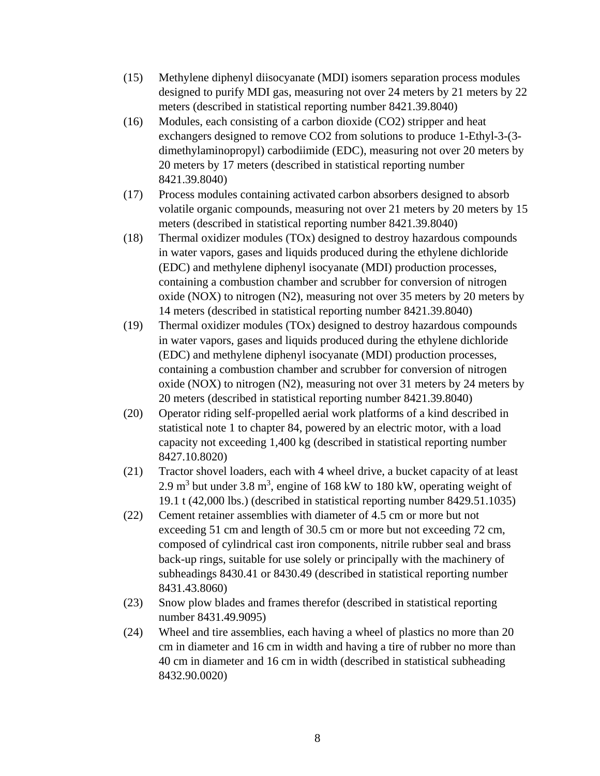- (15) Methylene diphenyl diisocyanate (MDI) isomers separation process modules designed to purify MDI gas, measuring not over 24 meters by 21 meters by 22 meters (described in statistical reporting number 8421.39.8040)
- (16) Modules, each consisting of a carbon dioxide (CO2) stripper and heat exchangers designed to remove CO2 from solutions to produce 1-Ethyl-3-(3 dimethylaminopropyl) carbodiimide (EDC), measuring not over 20 meters by 20 meters by 17 meters (described in statistical reporting number 8421.39.8040)
- (17) Process modules containing activated carbon absorbers designed to absorb volatile organic compounds, measuring not over 21 meters by 20 meters by 15 meters (described in statistical reporting number 8421.39.8040)
- (18) Thermal oxidizer modules (TOx) designed to destroy hazardous compounds in water vapors, gases and liquids produced during the ethylene dichloride (EDC) and methylene diphenyl isocyanate (MDI) production processes, containing a combustion chamber and scrubber for conversion of nitrogen oxide (NOX) to nitrogen (N2), measuring not over 35 meters by 20 meters by 14 meters (described in statistical reporting number 8421.39.8040)
- (19) Thermal oxidizer modules (TOx) designed to destroy hazardous compounds in water vapors, gases and liquids produced during the ethylene dichloride (EDC) and methylene diphenyl isocyanate (MDI) production processes, containing a combustion chamber and scrubber for conversion of nitrogen oxide (NOX) to nitrogen (N2), measuring not over 31 meters by 24 meters by 20 meters (described in statistical reporting number 8421.39.8040)
- (20) Operator riding self-propelled aerial work platforms of a kind described in statistical note 1 to chapter 84, powered by an electric motor, with a load capacity not exceeding 1,400 kg (described in statistical reporting number 8427.10.8020)
- (21) Tractor shovel loaders, each with 4 wheel drive, a bucket capacity of at least 2.9 m<sup>3</sup> but under 3.8 m<sup>3</sup>, engine of 168 kW to 180 kW, operating weight of 19.1 t (42,000 lbs.) (described in statistical reporting number 8429.51.1035)
- (22) Cement retainer assemblies with diameter of 4.5 cm or more but not exceeding 51 cm and length of 30.5 cm or more but not exceeding 72 cm, composed of cylindrical cast iron components, nitrile rubber seal and brass back-up rings, suitable for use solely or principally with the machinery of subheadings 8430.41 or 8430.49 (described in statistical reporting number 8431.43.8060)
- (23) Snow plow blades and frames therefor (described in statistical reporting number 8431.49.9095)
- (24) Wheel and tire assemblies, each having a wheel of plastics no more than 20 cm in diameter and 16 cm in width and having a tire of rubber no more than 40 cm in diameter and 16 cm in width (described in statistical subheading 8432.90.0020)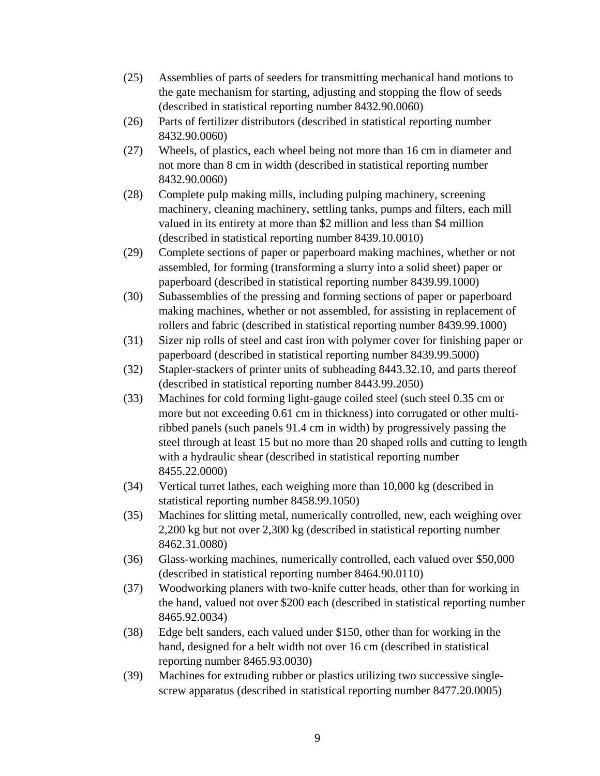- (25) Assemblies of parts of seeders for transmitting mechanical hand motions to the gate mechanism for starting, adjusting and stopping the flow of seeds (described in statistical reporting number 8432.90.0060)
- (26) Parts of fertilizer distributors (described in statistical reporting number 8432.90.0060)
- (27) Wheels, of plastics, each wheel being not more than 16 cm in diameter and not more than 8 cm in width (described in statistical reporting number 8432.90.0060)
- (28) Complete pulp making mills, including pulping machinery, screening machinery, cleaning machinery, settling tanks, pumps and filters, each mill valued in its entirety at more than \$2 million and less than \$4 million (described in statistical reporting number 8439.10.0010)
- (29) Complete sections of paper or paperboard making machines, whether or not assembled, for forming (transforming a slurry into a solid sheet) paper or paperboard (described in statistical reporting number 8439.99.1000)
- (30) Subassemblies of the pressing and forming sections of paper or paperboard making machines, whether or not assembled, for assisting in replacement of rollers and fabric (described in statistical reporting number 8439.99.1000)
- (31) Sizer nip rolls of steel and cast iron with polymer cover for finishing paper or paperboard (described in statistical reporting number 8439.99.5000)
- (32) Stapler-stackers of printer units of subheading 8443.32.10, and parts thereof (described in statistical reporting number 8443.99.2050)
- (33) Machines for cold forming light-gauge coiled steel (such steel 0.35 cm or more but not exceeding 0.61 cm in thickness) into corrugated or other multiribbed panels (such panels 91.4 cm in width) by progressively passing the steel through at least 15 but no more than 20 shaped rolls and cutting to length with a hydraulic shear (described in statistical reporting number 8455.22.0000)
- (34) Vertical turret lathes, each weighing more than 10,000 kg (described in statistical reporting number 8458.99.1050)
- (35) Machines for slitting metal, numerically controlled, new, each weighing over 2,200 kg but not over 2,300 kg (described in statistical reporting number 8462.31.0080)
- (36) Glass-working machines, numerically controlled, each valued over \$50,000 (described in statistical reporting number 8464.90.0110)
- (37) Woodworking planers with two-knife cutter heads, other than for working in the hand, valued not over \$200 each (described in statistical reporting number 8465.92.0034)
- (38) Edge belt sanders, each valued under \$150, other than for working in the hand, designed for a belt width not over 16 cm (described in statistical reporting number 8465.93.0030)
- (39) Machines for extruding rubber or plastics utilizing two successive singlescrew apparatus (described in statistical reporting number 8477.20.0005)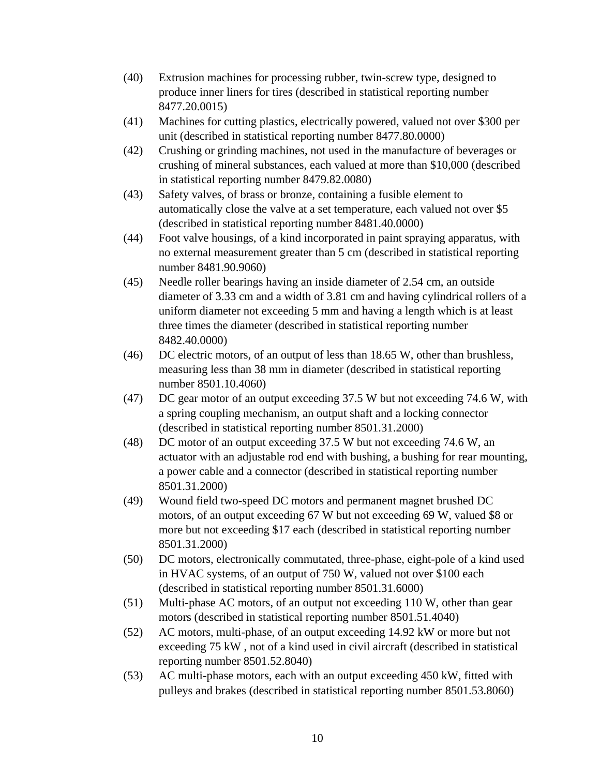- (40) Extrusion machines for processing rubber, twin-screw type, designed to produce inner liners for tires (described in statistical reporting number 8477.20.0015)
- (41) Machines for cutting plastics, electrically powered, valued not over \$300 per unit (described in statistical reporting number 8477.80.0000)
- (42) Crushing or grinding machines, not used in the manufacture of beverages or crushing of mineral substances, each valued at more than \$10,000 (described in statistical reporting number 8479.82.0080)
- (43) Safety valves, of brass or bronze, containing a fusible element to automatically close the valve at a set temperature, each valued not over \$5 (described in statistical reporting number 8481.40.0000)
- (44) Foot valve housings, of a kind incorporated in paint spraying apparatus, with no external measurement greater than 5 cm (described in statistical reporting number 8481.90.9060)
- (45) Needle roller bearings having an inside diameter of 2.54 cm, an outside diameter of 3.33 cm and a width of 3.81 cm and having cylindrical rollers of a uniform diameter not exceeding 5 mm and having a length which is at least three times the diameter (described in statistical reporting number 8482.40.0000)
- (46) DC electric motors, of an output of less than 18.65 W, other than brushless, measuring less than 38 mm in diameter (described in statistical reporting number 8501.10.4060)
- (47) DC gear motor of an output exceeding 37.5 W but not exceeding 74.6 W, with a spring coupling mechanism, an output shaft and a locking connector (described in statistical reporting number 8501.31.2000)
- (48) DC motor of an output exceeding 37.5 W but not exceeding 74.6 W, an actuator with an adjustable rod end with bushing, a bushing for rear mounting, a power cable and a connector (described in statistical reporting number 8501.31.2000)
- (49) Wound field two-speed DC motors and permanent magnet brushed DC motors, of an output exceeding 67 W but not exceeding 69 W, valued \$8 or more but not exceeding \$17 each (described in statistical reporting number 8501.31.2000)
- (50) DC motors, electronically commutated, three-phase, eight-pole of a kind used in HVAC systems, of an output of 750 W, valued not over \$100 each (described in statistical reporting number 8501.31.6000)
- (51) Multi-phase AC motors, of an output not exceeding 110 W, other than gear motors (described in statistical reporting number 8501.51.4040)
- (52) AC motors, multi-phase, of an output exceeding 14.92 kW or more but not exceeding 75 kW , not of a kind used in civil aircraft (described in statistical reporting number 8501.52.8040)
- (53) AC multi-phase motors, each with an output exceeding 450 kW, fitted with pulleys and brakes (described in statistical reporting number 8501.53.8060)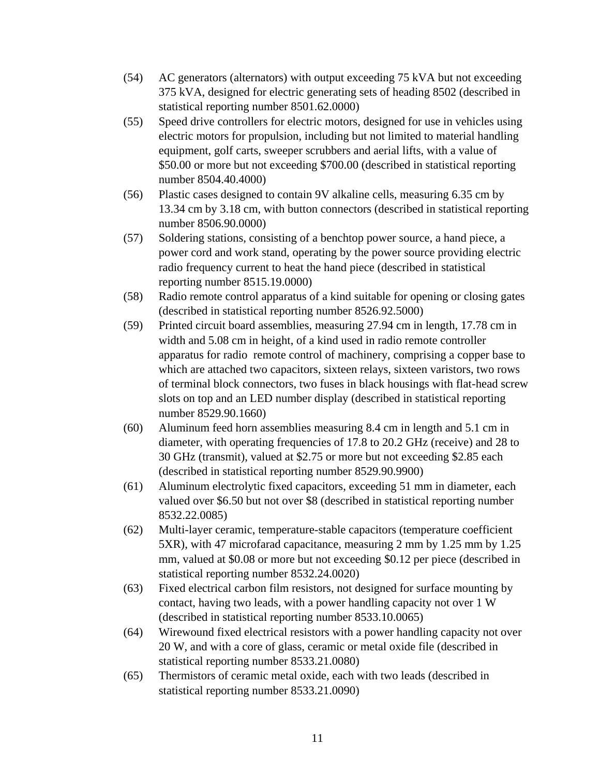- (54) AC generators (alternators) with output exceeding 75 kVA but not exceeding 375 kVA, designed for electric generating sets of heading 8502 (described in statistical reporting number 8501.62.0000)
- (55) Speed drive controllers for electric motors, designed for use in vehicles using electric motors for propulsion, including but not limited to material handling equipment, golf carts, sweeper scrubbers and aerial lifts, with a value of \$50.00 or more but not exceeding \$700.00 (described in statistical reporting number 8504.40.4000)
- (56) Plastic cases designed to contain 9V alkaline cells, measuring 6.35 cm by 13.34 cm by 3.18 cm, with button connectors (described in statistical reporting number 8506.90.0000)
- (57) Soldering stations, consisting of a benchtop power source, a hand piece, a power cord and work stand, operating by the power source providing electric radio frequency current to heat the hand piece (described in statistical reporting number 8515.19.0000)
- (58) Radio remote control apparatus of a kind suitable for opening or closing gates (described in statistical reporting number 8526.92.5000)
- (59) Printed circuit board assemblies, measuring 27.94 cm in length, 17.78 cm in width and 5.08 cm in height, of a kind used in radio remote controller apparatus for radio remote control of machinery, comprising a copper base to which are attached two capacitors, sixteen relays, sixteen varistors, two rows of terminal block connectors, two fuses in black housings with flat-head screw slots on top and an LED number display (described in statistical reporting number 8529.90.1660)
- (60) Aluminum feed horn assemblies measuring 8.4 cm in length and 5.1 cm in diameter, with operating frequencies of 17.8 to 20.2 GHz (receive) and 28 to 30 GHz (transmit), valued at \$2.75 or more but not exceeding \$2.85 each (described in statistical reporting number 8529.90.9900)
- (61) Aluminum electrolytic fixed capacitors, exceeding 51 mm in diameter, each valued over \$6.50 but not over \$8 (described in statistical reporting number 8532.22.0085)
- (62) Multi-layer ceramic, temperature-stable capacitors (temperature coefficient 5XR), with 47 microfarad capacitance, measuring 2 mm by 1.25 mm by 1.25 mm, valued at \$0.08 or more but not exceeding \$0.12 per piece (described in statistical reporting number 8532.24.0020)
- (63) Fixed electrical carbon film resistors, not designed for surface mounting by contact, having two leads, with a power handling capacity not over 1 W (described in statistical reporting number 8533.10.0065)
- (64) Wirewound fixed electrical resistors with a power handling capacity not over 20 W, and with a core of glass, ceramic or metal oxide file (described in statistical reporting number 8533.21.0080)
- (65) Thermistors of ceramic metal oxide, each with two leads (described in statistical reporting number 8533.21.0090)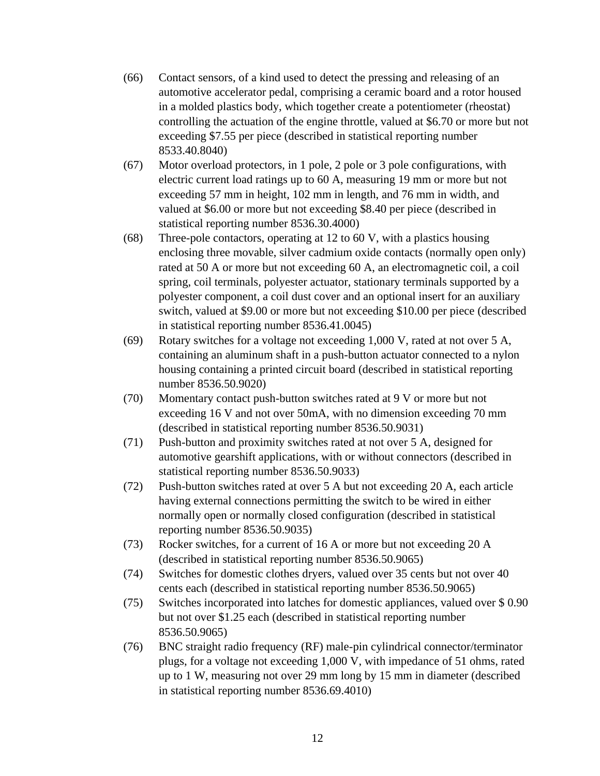- (66) Contact sensors, of a kind used to detect the pressing and releasing of an automotive accelerator pedal, comprising a ceramic board and a rotor housed in a molded plastics body, which together create a potentiometer (rheostat) controlling the actuation of the engine throttle, valued at \$6.70 or more but not exceeding \$7.55 per piece (described in statistical reporting number 8533.40.8040)
- (67) Motor overload protectors, in 1 pole, 2 pole or 3 pole configurations, with electric current load ratings up to 60 A, measuring 19 mm or more but not exceeding 57 mm in height, 102 mm in length, and 76 mm in width, and valued at \$6.00 or more but not exceeding \$8.40 per piece (described in statistical reporting number 8536.30.4000)
- (68) Three-pole contactors, operating at 12 to 60 V, with a plastics housing enclosing three movable, silver cadmium oxide contacts (normally open only) rated at 50 A or more but not exceeding 60 A, an electromagnetic coil, a coil spring, coil terminals, polyester actuator, stationary terminals supported by a polyester component, a coil dust cover and an optional insert for an auxiliary switch, valued at \$9.00 or more but not exceeding \$10.00 per piece (described in statistical reporting number 8536.41.0045)
- (69) Rotary switches for a voltage not exceeding 1,000 V, rated at not over 5 A, containing an aluminum shaft in a push-button actuator connected to a nylon housing containing a printed circuit board (described in statistical reporting number 8536.50.9020)
- (70) Momentary contact push-button switches rated at 9 V or more but not exceeding 16 V and not over 50mA, with no dimension exceeding 70 mm (described in statistical reporting number 8536.50.9031)
- (71) Push-button and proximity switches rated at not over 5 A, designed for automotive gearshift applications, with or without connectors (described in statistical reporting number 8536.50.9033)
- (72) Push-button switches rated at over 5 A but not exceeding 20 A, each article having external connections permitting the switch to be wired in either normally open or normally closed configuration (described in statistical reporting number 8536.50.9035)
- (73) Rocker switches, for a current of 16 A or more but not exceeding 20 A (described in statistical reporting number 8536.50.9065)
- (74) Switches for domestic clothes dryers, valued over 35 cents but not over 40 cents each (described in statistical reporting number 8536.50.9065)
- (75) Switches incorporated into latches for domestic appliances, valued over \$ 0.90 but not over \$1.25 each (described in statistical reporting number 8536.50.9065)
- (76) BNC straight radio frequency (RF) male-pin cylindrical connector/terminator plugs, for a voltage not exceeding 1,000 V, with impedance of 51 ohms, rated up to 1 W, measuring not over 29 mm long by 15 mm in diameter (described in statistical reporting number 8536.69.4010)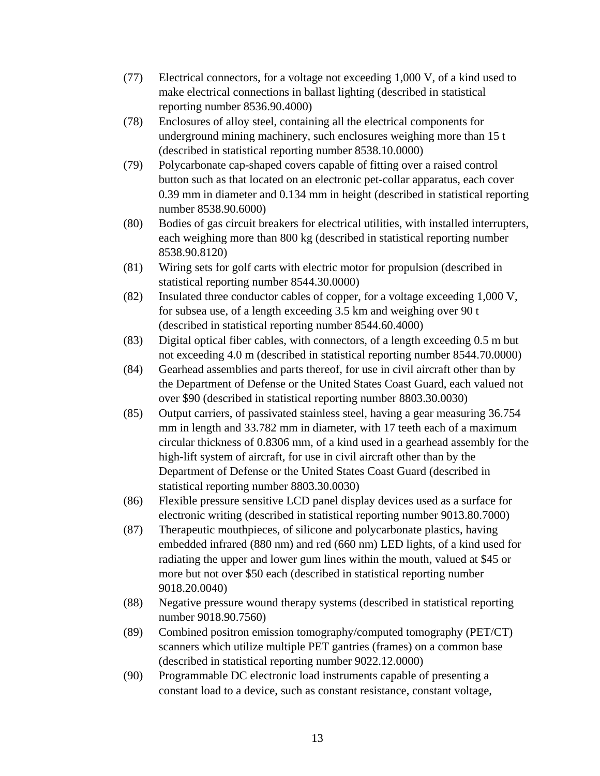- (77) Electrical connectors, for a voltage not exceeding 1,000 V, of a kind used to make electrical connections in ballast lighting (described in statistical reporting number 8536.90.4000)
- (78) Enclosures of alloy steel, containing all the electrical components for underground mining machinery, such enclosures weighing more than 15 t (described in statistical reporting number 8538.10.0000)
- (79) Polycarbonate cap-shaped covers capable of fitting over a raised control button such as that located on an electronic pet-collar apparatus, each cover 0.39 mm in diameter and 0.134 mm in height (described in statistical reporting number 8538.90.6000)
- (80) Bodies of gas circuit breakers for electrical utilities, with installed interrupters, each weighing more than 800 kg (described in statistical reporting number 8538.90.8120)
- (81) Wiring sets for golf carts with electric motor for propulsion (described in statistical reporting number 8544.30.0000)
- (82) Insulated three conductor cables of copper, for a voltage exceeding 1,000 V, for subsea use, of a length exceeding 3.5 km and weighing over 90 t (described in statistical reporting number 8544.60.4000)
- (83) Digital optical fiber cables, with connectors, of a length exceeding 0.5 m but not exceeding 4.0 m (described in statistical reporting number 8544.70.0000)
- (84) Gearhead assemblies and parts thereof, for use in civil aircraft other than by the Department of Defense or the United States Coast Guard, each valued not over \$90 (described in statistical reporting number 8803.30.0030)
- (85) Output carriers, of passivated stainless steel, having a gear measuring 36.754 mm in length and 33.782 mm in diameter, with 17 teeth each of a maximum circular thickness of 0.8306 mm, of a kind used in a gearhead assembly for the high-lift system of aircraft, for use in civil aircraft other than by the Department of Defense or the United States Coast Guard (described in statistical reporting number 8803.30.0030)
- (86) Flexible pressure sensitive LCD panel display devices used as a surface for electronic writing (described in statistical reporting number 9013.80.7000)
- (87) Therapeutic mouthpieces, of silicone and polycarbonate plastics, having embedded infrared (880 nm) and red (660 nm) LED lights, of a kind used for radiating the upper and lower gum lines within the mouth, valued at \$45 or more but not over \$50 each (described in statistical reporting number 9018.20.0040)
- (88) Negative pressure wound therapy systems (described in statistical reporting number 9018.90.7560)
- (89) Combined positron emission tomography/computed tomography (PET/CT) scanners which utilize multiple PET gantries (frames) on a common base (described in statistical reporting number 9022.12.0000)
- (90) Programmable DC electronic load instruments capable of presenting a constant load to a device, such as constant resistance, constant voltage,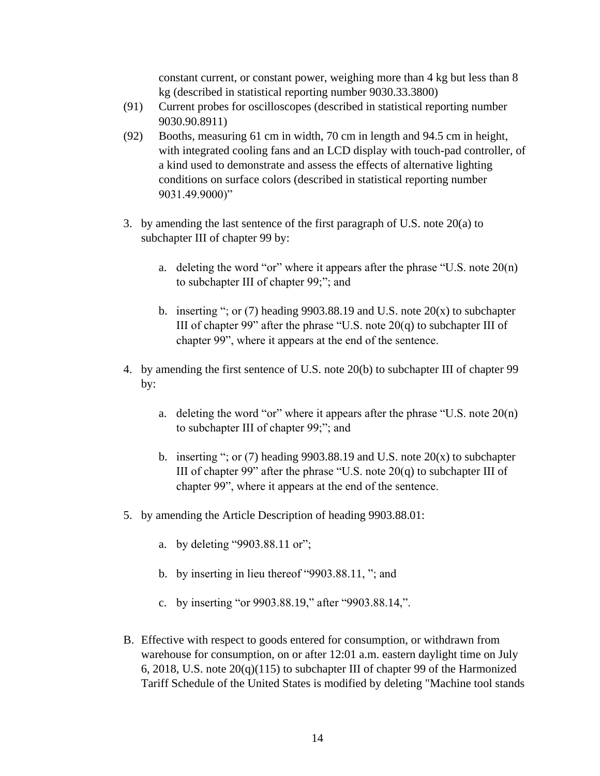constant current, or constant power, weighing more than 4 kg but less than 8 kg (described in statistical reporting number 9030.33.3800)

- (91) Current probes for oscilloscopes (described in statistical reporting number 9030.90.8911)
- (92) Booths, measuring 61 cm in width, 70 cm in length and 94.5 cm in height, with integrated cooling fans and an LCD display with touch-pad controller, of a kind used to demonstrate and assess the effects of alternative lighting conditions on surface colors (described in statistical reporting number 9031.49.9000)"
- 3. by amending the last sentence of the first paragraph of U.S. note 20(a) to subchapter III of chapter 99 by:
	- a. deleting the word "or" where it appears after the phrase "U.S. note  $20(n)$ " to subchapter III of chapter 99;"; and
	- b. inserting "; or (7) heading 9903.88.19 and U.S. note  $20(x)$  to subchapter III of chapter 99" after the phrase "U.S. note  $20(q)$  to subchapter III of chapter 99", where it appears at the end of the sentence.
- 4. by amending the first sentence of U.S. note 20(b) to subchapter III of chapter 99 by:
	- a. deleting the word "or" where it appears after the phrase "U.S. note  $20(n)$ " to subchapter III of chapter 99;"; and
	- b. inserting "; or (7) heading 9903.88.19 and U.S. note  $20(x)$  to subchapter III of chapter 99" after the phrase "U.S. note  $20(q)$  to subchapter III of chapter 99", where it appears at the end of the sentence.
- 5. by amending the Article Description of heading 9903.88.01:
	- a. by deleting "9903.88.11 or";
	- b. by inserting in lieu thereof "9903.88.11, "; and
	- c. by inserting "or 9903.88.19," after "9903.88.14,".
- B. Effective with respect to goods entered for consumption, or withdrawn from warehouse for consumption, on or after 12:01 a.m. eastern daylight time on July 6, 2018, U.S. note  $20(q)(115)$  to subchapter III of chapter 99 of the Harmonized Tariff Schedule of the United States is modified by deleting "Machine tool stands